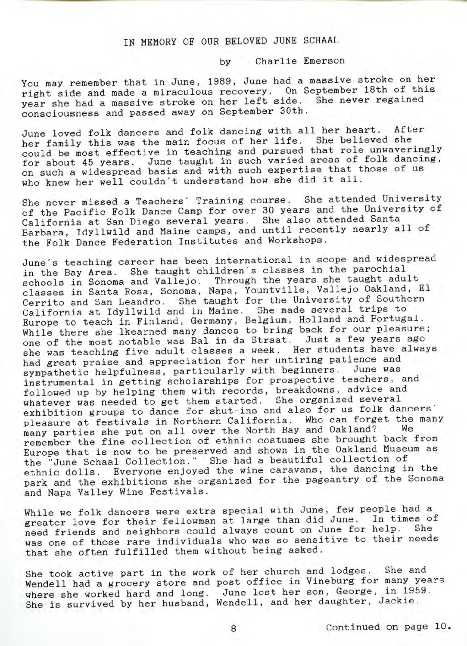## IN MEMORY OF OUR BELOVED JUNE SCHAAL

by Charlie Emerson

You may remember that in June, 1989, June had a massive stroke on her right side and made a miraculous recovery. On September 18th of this year she had a massive stroke on her left side. She never regained consciousness and passed away on September 30th.

June loved folk dancers and folk dancing with all her heart. After her family this was the main focus of her life. She believed she could be most effective in teaching and pursued that role unwaveringly for about 45 years. June taught in such varied areas of folk dancing, on such a widespread basis and with such expertise that those of us who knew her well couldn't understand how she did it all.

She never missed a Teachers' Training course. She attended University of the Pacific Folk Dance Camp for over 30 years and the University of California at San Diego several years. She also attended Santa Barbara, Idyllwild and Maine camps, and until recently nearly all of the Folk Dance Federation Institutes and Workshops.

June's teaching career has been international in scope and widespread in the Bay Area. She taught children's classes in the parochial schools in Sonoma and Vallejo. Through the years she taught adult classes in Santa Rosa, Sonoma, Napa, Yountville, Vallejo Oakland, El Cerrito and San Leandro. She taught for the University of Southern California at Idyllwild and in Maine. She made several trips to Europe to teach in Finland, Germany, Belgium, Holland and Portugal. While there she Ikearned many dances to bring back for our pleasure; one of the most notable was Bal in da Straat. Just a few years ago she was teaching five adult classes a week. Her students have always had great praise and appreciation for her untiring patience and sympathetic helpfulness, particularly with beginners. June was instrumental in getting scholarships for prospective teachers, and followed up by helping them with records, breakdowns, advice and whatever was needed to get them started. She organised several exhibition groups to dance for shut-ins and also for us folk dancers' pleasure at festivals in Northern California. Who can forget the many many parties she put on all over the North Bay and Oakland? We remember the fine collection of ethnic costumes she brought back from Europe that is now to be preserved and shown in the Oakland Museum as the "June Schaal Collection." She had a beautiful collection of ethnic dolls. Everyone enjoyed the wine caravans, the dancing in the park and the exhibitions she organized for the pageantry of the Sonoma and Napa Valley Wine Festivals.

While we folk dancers were extra special with June, few people had a greater love for their fellowman at large than did June. In times of need friends and neighbors could always count on June for help. was one of those rare individuals who was so sensitive to their needs that she often fulfilled them without being asked.

She took active part in the work of her church and lodges. She and Wendell had a grocery store and post office in Vineburg for many years where she worked hard and long. June lost her son, George, in 1959. She is survived by her husband, Wendell, and her daughter, Jackie.